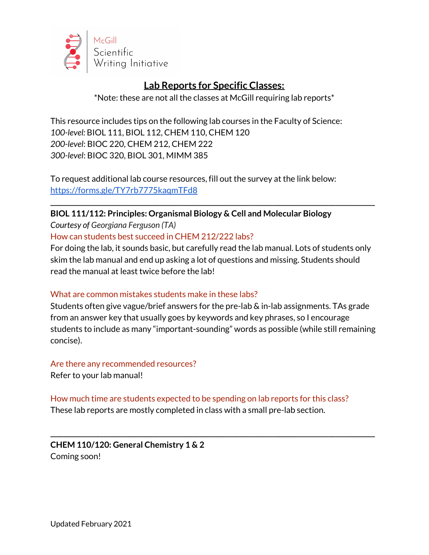

# **Lab Reports for Specific Classes:**

\*Note: these are not all the classes at McGill requiring lab reports\*

This resource includes tips on the following lab courses in the Faculty of Science: *100-level:* BIOL 111, BIOL 112, CHEM 110, CHEM 120 *200-level*: BIOC 220, CHEM 212, CHEM 222 *300-level*: BIOC 320, BIOL 301, MIMM 385

To request additional lab course resources, fill out the survey at the link below: <https://forms.gle/TY7rb7775kaqmTFd8>

**BIOL 111/112: Principles: Organismal Biology & Cell and Molecular Biology** *Courtesy of Georgiana Ferguson (TA)*

How can students best succeed in CHEM 212/222 labs?

For doing the lab, it sounds basic, but carefully read the lab manual. Lots of students only skim the lab manual and end up asking a lot of questions and missing. Students should read the manual at least twice before the lab!

**\_\_\_\_\_\_\_\_\_\_\_\_\_\_\_\_\_\_\_\_\_\_\_\_\_\_\_\_\_\_\_\_\_\_\_\_\_\_\_\_\_\_\_\_\_\_\_\_\_\_\_\_\_\_\_\_\_\_\_\_\_\_\_\_\_\_\_\_\_\_\_\_\_\_\_\_\_\_\_\_\_\_\_\_\_\_\_\_\_\_\_\_\_\_\_\_\_\_**

## What are common mistakes students make in these labs?

Students often give vague/brief answers for the pre-lab & in-lab assignments. TAs grade from an answer key that usually goes by keywords and key phrases, so I encourage students to include as many "important-sounding" words as possible (while still remaining concise).

Are there any recommended resources? Refer to your lab manual!

How much time are students expected to be spending on lab reports for this class? These lab reports are mostly completed in class with a small pre-lab section.

**\_\_\_\_\_\_\_\_\_\_\_\_\_\_\_\_\_\_\_\_\_\_\_\_\_\_\_\_\_\_\_\_\_\_\_\_\_\_\_\_\_\_\_\_\_\_\_\_\_\_\_\_\_\_\_\_\_\_\_\_\_\_\_\_\_\_\_\_\_\_\_\_\_\_\_\_\_\_\_\_\_\_\_\_\_\_\_\_\_\_\_\_\_\_\_\_\_\_**

**CHEM 110/120: General Chemistry 1 & 2** Coming soon!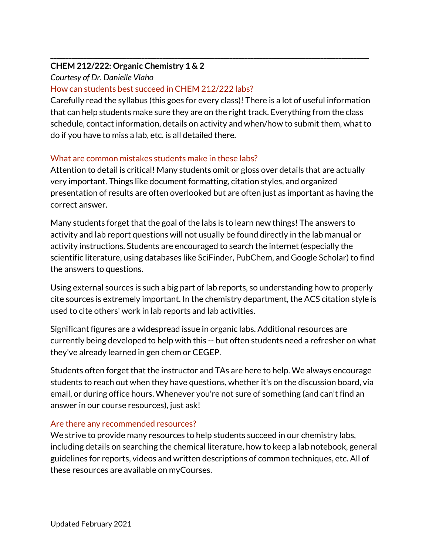## **CHEM 212/222: Organic Chemistry 1 & 2**

*Courtesy of Dr. Danielle Vlaho*

## How can students best succeed in CHEM 212/222 labs?

Carefully read the syllabus (this goes for every class)! There is a lot of useful information that can help students make sure they are on the right track. Everything from the class schedule, contact information, details on activity and when/how to submit them, what to do if you have to miss a lab, etc. is all detailed there.

**\_\_\_\_\_\_\_\_\_\_\_\_\_\_\_\_\_\_\_\_\_\_\_\_\_\_\_\_\_\_\_\_\_\_\_\_\_\_\_\_\_\_\_\_\_\_\_\_\_\_\_\_\_\_\_\_\_\_\_\_\_\_\_\_\_\_\_\_\_\_\_\_\_\_\_\_\_\_\_\_\_\_\_\_\_\_\_\_\_\_\_\_\_\_\_\_\_\_\_\_\_\_\_\_\_**

## What are common mistakes students make in these labs?

Attention to detail is critical! Many students omit or gloss over details that are actually very important. Things like document formatting, citation styles, and organized presentation of results are often overlooked but are often just as important as having the correct answer.

Many students forget that the goal of the labs is to learn new things! The answers to activity and lab report questions will not usually be found directly in the lab manual or activity instructions. Students are encouraged to search the internet (especially the scientific literature, using databases like SciFinder, PubChem, and Google Scholar) to find the answers to questions.

Using external sources is such a big part of lab reports, so understanding how to properly cite sources is extremely important. In the chemistry department, the ACS citation style is used to cite others' work in lab reports and lab activities.

Significant figures are a widespread issue in organic labs. Additional resources are currently being developed to help with this -- but often students need a refresher on what they've already learned in gen chem or CEGEP.

Students often forget that the instructor and TAs are here to help. We always encourage students to reach out when they have questions, whether it's on the discussion board, via email, or during office hours. Whenever you're not sure of something (and can't find an answer in our course resources), just ask!

## Are there any recommended resources?

We strive to provide many resources to help students succeed in our chemistry labs, including details on searching the chemical literature, how to keep a lab notebook, general guidelines for reports, videos and written descriptions of common techniques, etc. All of these resources are available on myCourses.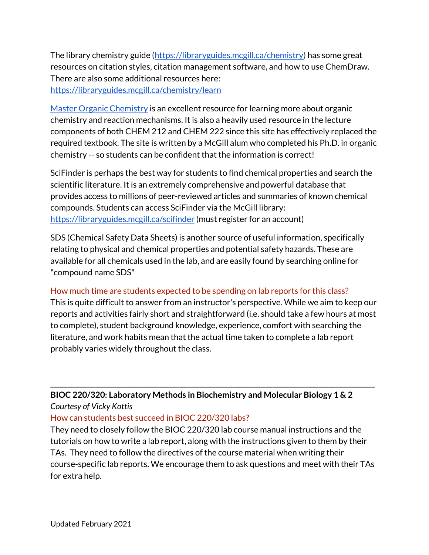The library chemistry guide [\(https://libraryguides.mcgill.ca/chemistry\)](https://libraryguides.mcgill.ca/chemistry) has some great resources on citation styles, citation management software, and how to use ChemDraw. There are also some additional resources here: <https://libraryguides.mcgill.ca/chemistry/learn>

Master Organic [Chemistry](https://www.masterorganicchemistry.com/) is an excellent resource for learning more about organic chemistry and reaction mechanisms. It is also a heavily used resource in the lecture components of both CHEM 212 and CHEM 222 since this site has effectively replaced the required textbook. The site is written by a McGill alum who completed his Ph.D. in organic chemistry -- so students can be confident that the information is correct!

SciFinder is perhaps the best way for students to find chemical properties and search the scientific literature. It is an extremely comprehensive and powerful database that provides access to millions of peer-reviewed articles and summaries of known chemical compounds. Students can access SciFinder via the McGill library: <https://libraryguides.mcgill.ca/scifinder> (must register for an account)

SDS (Chemical Safety Data Sheets) is another source of useful information, specifically relating to physical and chemical properties and potential safety hazards. These are available for all chemicals used in the lab, and are easily found by searching online for "compound name SDS"

#### How much time are students expected to be spending on lab reports for this class?

This is quite difficult to answer from an instructor's perspective. While we aim to keep our reports and activities fairly short and straightforward (i.e. should take a few hours at most to complete), student background knowledge, experience, comfort with searching the literature, and work habits mean that the actual time taken to complete a lab report probably varies widely throughout the class.

**\_\_\_\_\_\_\_\_\_\_\_\_\_\_\_\_\_\_\_\_\_\_\_\_\_\_\_\_\_\_\_\_\_\_\_\_\_\_\_\_\_\_\_\_\_\_\_\_\_\_\_\_\_\_\_\_\_\_\_\_\_\_\_\_\_\_\_\_\_\_\_\_\_\_\_\_\_\_\_\_\_\_\_\_\_\_\_\_\_\_\_\_\_\_\_\_\_\_**

**BIOC 220/320: Laboratory Methods in Biochemistry and Molecular Biology 1 & 2** *Courtesy of Vicky Kottis*

## How can students best succeed in BIOC 220/320 labs?

They need to closely follow the BIOC 220/320 lab course manual instructions and the tutorials on how to write a lab report, along with the instructions given to them by their TAs. They need to follow the directives of the course material when writing their course-specific lab reports. We encourage them to ask questions and meet with their TAs for extra help.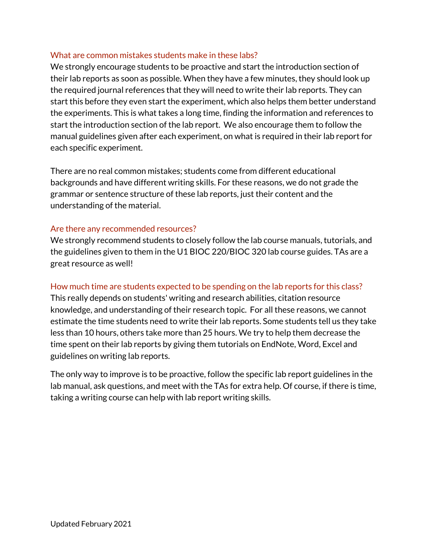#### What are common mistakes students make in these labs?

We strongly encourage students to be proactive and start the introduction section of their lab reports as soon as possible. When they have a few minutes, they should look up the required journal references that they will need to write their lab reports. They can start this before they even start the experiment, which also helps them better understand the experiments. This is what takes a long time, finding the information and references to start the introduction section of the lab report. We also encourage them to follow the manual guidelines given after each experiment, on what is required in their lab report for each specific experiment.

There are no real common mistakes; students come from different educational backgrounds and have different writing skills. For these reasons, we do not grade the grammar or sentence structure of these lab reports, just their content and the understanding of the material.

#### Are there any recommended resources?

We strongly recommend students to closely follow the lab course manuals, tutorials, and the guidelines given to them in the U1 BIOC 220/BIOC 320 lab course guides. TAs are a great resource as well!

#### How much time are students expected to be spending on the lab reports for this class?

This really depends on students' writing and research abilities, citation resource knowledge, and understanding of their research topic. For all these reasons, we cannot estimate the time students need to write their lab reports. Some students tell us they take less than 10 hours, others take more than 25 hours. We try to help them decrease the time spent on their lab reports by giving them tutorials on EndNote, Word, Excel and guidelines on writing lab reports.

The only way to improve is to be proactive, follow the specific lab report guidelines in the lab manual, ask questions, and meet with the TAs for extra help. Of course, if there is time, taking a writing course can help with lab report writing skills.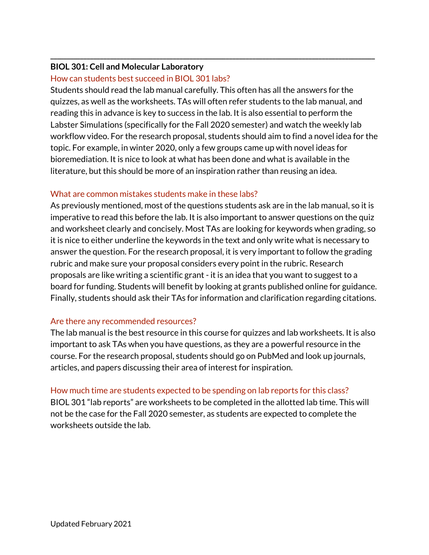## **BIOL 301: Cell and Molecular Laboratory**

## How can students best succeed in BIOL 301 labs?

Students should read the lab manual carefully. This often has all the answers for the quizzes, as well as the worksheets. TAs will often refer students to the lab manual, and reading this in advance is key to success in the lab. It is also essential to perform the Labster Simulations (specifically for the Fall 2020 semester) and watch the weekly lab workflow video. For the research proposal, students should aim to find a novel idea for the topic. For example, in winter 2020, only a few groups came up with novel ideas for bioremediation. It is nice to look at what has been done and what is available in the literature, but this should be more of an inspiration rather than reusing an idea.

**\_\_\_\_\_\_\_\_\_\_\_\_\_\_\_\_\_\_\_\_\_\_\_\_\_\_\_\_\_\_\_\_\_\_\_\_\_\_\_\_\_\_\_\_\_\_\_\_\_\_\_\_\_\_\_\_\_\_\_\_\_\_\_\_\_\_\_\_\_\_\_\_\_\_\_\_\_\_\_\_\_\_\_\_\_\_\_\_\_\_\_\_\_\_\_\_\_\_**

## What are common mistakes students make in these labs?

As previously mentioned, most of the questions students ask are in the lab manual, so it is imperative to read this before the lab. It is also important to answer questions on the quiz and worksheet clearly and concisely. Most TAs are looking for keywords when grading, so it is nice to either underline the keywords in the text and only write what is necessary to answer the question. For the research proposal, it is very important to follow the grading rubric and make sure your proposal considers every point in the rubric. Research proposals are like writing a scientific grant - it is an idea that you want to suggest to a board for funding. Students will benefit by looking at grants published online for guidance. Finally, students should ask their TAs for information and clarification regarding citations.

## Are there any recommended resources?

The lab manual is the best resource in this course for quizzes and lab worksheets. It is also important to ask TAs when you have questions, as they are a powerful resource in the course. For the research proposal, students should go on PubMed and look up journals, articles, and papers discussing their area of interest for inspiration.

## How much time are students expected to be spending on lab reports for this class? BIOL 301 "lab reports" are worksheets to be completed in the allotted lab time. This will not be the case for the Fall 2020 semester, as students are expected to complete the worksheets outside the lab.